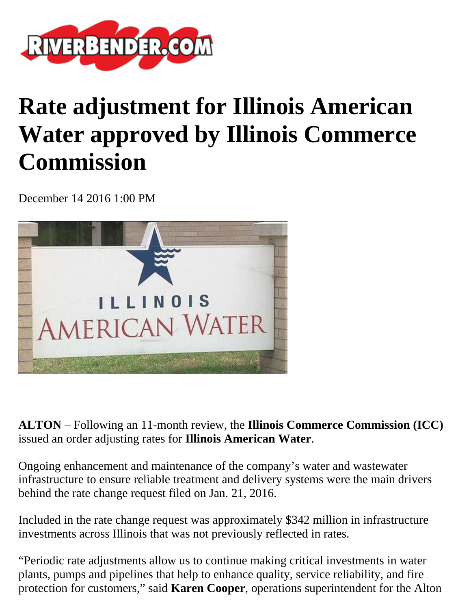

## **Rate adjustment for Illinois American Water approved by Illinois Commerce Commission**

December 14 2016 1:00 PM



**ALTON** – Following an 11-month review, the **Illinois Commerce Commission (ICC)** issued an order adjusting rates for **Illinois American Water**.

Ongoing enhancement and maintenance of the company's water and wastewater infrastructure to ensure reliable treatment and delivery systems were the main drivers behind the rate change request filed on Jan. 21, 2016.

Included in the rate change request was approximately \$342 million in infrastructure investments across Illinois that was not previously reflected in rates.

"Periodic rate adjustments allow us to continue making critical investments in water plants, pumps and pipelines that help to enhance quality, service reliability, and fire protection for customers," said **Karen Cooper**, operations superintendent for the Alton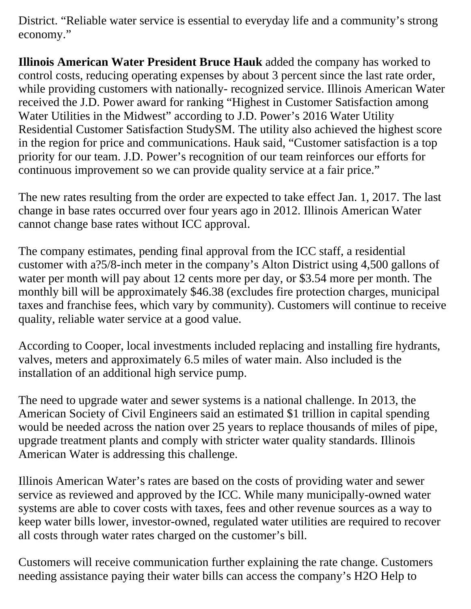District. "Reliable water service is essential to everyday life and a community's strong economy."

**Illinois American Water President Bruce Hauk** added the company has worked to control costs, reducing operating expenses by about 3 percent since the last rate order, while providing customers with nationally- recognized service. Illinois American Water received the J.D. Power award for ranking "Highest in Customer Satisfaction among Water Utilities in the Midwest" according to J.D. Power's 2016 Water Utility Residential Customer Satisfaction StudySM. The utility also achieved the highest score in the region for price and communications. Hauk said, "Customer satisfaction is a top priority for our team. J.D. Power's recognition of our team reinforces our efforts for continuous improvement so we can provide quality service at a fair price."

The new rates resulting from the order are expected to take effect Jan. 1, 2017. The last change in base rates occurred over four years ago in 2012. Illinois American Water cannot change base rates without ICC approval.

The company estimates, pending final approval from the ICC staff, a residential customer with a?5/8-inch meter in the company's Alton District using 4,500 gallons of water per month will pay about 12 cents more per day, or \$3.54 more per month. The monthly bill will be approximately \$46.38 (excludes fire protection charges, municipal taxes and franchise fees, which vary by community). Customers will continue to receive quality, reliable water service at a good value.

According to Cooper, local investments included replacing and installing fire hydrants, valves, meters and approximately 6.5 miles of water main. Also included is the installation of an additional high service pump.

The need to upgrade water and sewer systems is a national challenge. In 2013, the American Society of Civil Engineers said an estimated \$1 trillion in capital spending would be needed across the nation over 25 years to replace thousands of miles of pipe, upgrade treatment plants and comply with stricter water quality standards. Illinois American Water is addressing this challenge.

Illinois American Water's rates are based on the costs of providing water and sewer service as reviewed and approved by the ICC. While many municipally-owned water systems are able to cover costs with taxes, fees and other revenue sources as a way to keep water bills lower, investor-owned, regulated water utilities are required to recover all costs through water rates charged on the customer's bill.

Customers will receive communication further explaining the rate change. Customers needing assistance paying their water bills can access the company's H2O Help to